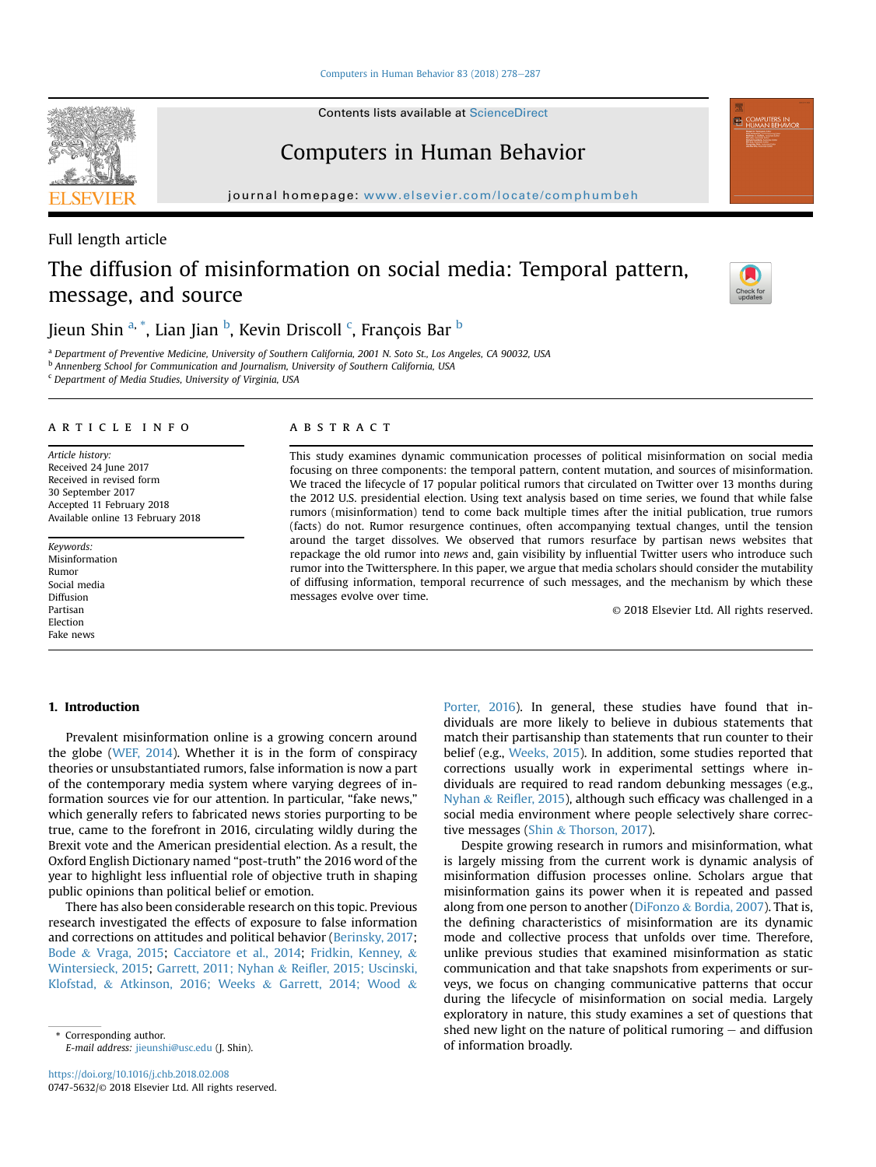[Computers in Human Behavior 83 \(2018\) 278](https://doi.org/10.1016/j.chb.2018.02.008)-[287](https://doi.org/10.1016/j.chb.2018.02.008)

Contents lists available at ScienceDirect

## Computers in Human Behavior

journal homepage: <www.elsevier.com/locate/comphumbeh>



# The diffusion of misinformation on social media: Temporal pattern, message, and source



Jieun Shin <sup>a, \*</sup>, Lian Jian <sup>b</sup>, Kevin Driscoll <sup>c</sup>, François Bar <sup>b</sup>

<sup>a</sup> Department of Preventive Medicine, University of Southern California, 2001 N. Soto St., Los Angeles, CA 90032, USA

**b Annenberg School for Communication and Journalism, University of Southern California, USA** 

<sup>c</sup> Department of Media Studies, University of Virginia, USA

### article info

Article history: Received 24 June 2017 Received in revised form 30 September 2017 Accepted 11 February 2018 Available online 13 February 2018

Keywords: Misinformation Rumor Social media Diffusion Partisan Election Fake news

## **ABSTRACT**

This study examines dynamic communication processes of political misinformation on social media focusing on three components: the temporal pattern, content mutation, and sources of misinformation. We traced the lifecycle of 17 popular political rumors that circulated on Twitter over 13 months during the 2012 U.S. presidential election. Using text analysis based on time series, we found that while false rumors (misinformation) tend to come back multiple times after the initial publication, true rumors (facts) do not. Rumor resurgence continues, often accompanying textual changes, until the tension around the target dissolves. We observed that rumors resurface by partisan news websites that repackage the old rumor into news and, gain visibility by influential Twitter users who introduce such rumor into the Twittersphere. In this paper, we argue that media scholars should consider the mutability of diffusing information, temporal recurrence of such messages, and the mechanism by which these messages evolve over time.

© 2018 Elsevier Ltd. All rights reserved.

## 1. Introduction

Prevalent misinformation online is a growing concern around the globe [\(WEF, 2014](#page-9-0)). Whether it is in the form of conspiracy theories or unsubstantiated rumors, false information is now a part of the contemporary media system where varying degrees of information sources vie for our attention. In particular, "fake news," which generally refers to fabricated news stories purporting to be true, came to the forefront in 2016, circulating wildly during the Brexit vote and the American presidential election. As a result, the Oxford English Dictionary named "post-truth" the 2016 word of the year to highlight less influential role of objective truth in shaping public opinions than political belief or emotion.

There has also been considerable research on this topic. Previous research investigated the effects of exposure to false information and corrections on attitudes and political behavior ([Berinsky, 2017](#page-8-0); [Bode](#page-8-0) & [Vraga, 2015](#page-8-0); [Cacciatore et al., 2014;](#page-8-0) [Fridkin, Kenney,](#page-8-0) & [Wintersieck, 2015](#page-8-0); [Garrett, 2011; Nyhan](#page-8-0) & Reifl[er, 2015; Uscinski,](#page-8-0) [Klofstad,](#page-8-0) & [Atkinson, 2016; Weeks](#page-8-0) & [Garrett, 2014; Wood](#page-8-0) &

[Porter, 2016\)](#page-8-0). In general, these studies have found that individuals are more likely to believe in dubious statements that match their partisanship than statements that run counter to their belief (e.g., [Weeks, 2015](#page-9-0)). In addition, some studies reported that corrections usually work in experimental settings where individuals are required to read random debunking messages (e.g., [Nyhan](#page-8-0) & Reifl[er, 2015](#page-8-0)), although such efficacy was challenged in a social media environment where people selectively share corrective messages ([Shin](#page-8-0) & [Thorson, 2017\)](#page-8-0).

Despite growing research in rumors and misinformation, what is largely missing from the current work is dynamic analysis of misinformation diffusion processes online. Scholars argue that misinformation gains its power when it is repeated and passed along from one person to another ([DiFonzo](#page-8-0)  $&$  [Bordia, 2007\)](#page-8-0). That is, the defining characteristics of misinformation are its dynamic mode and collective process that unfolds over time. Therefore, unlike previous studies that examined misinformation as static communication and that take snapshots from experiments or surveys, we focus on changing communicative patterns that occur during the lifecycle of misinformation on social media. Largely exploratory in nature, this study examines a set of questions that shed new light on the nature of political rumoring  $-$  and diffusion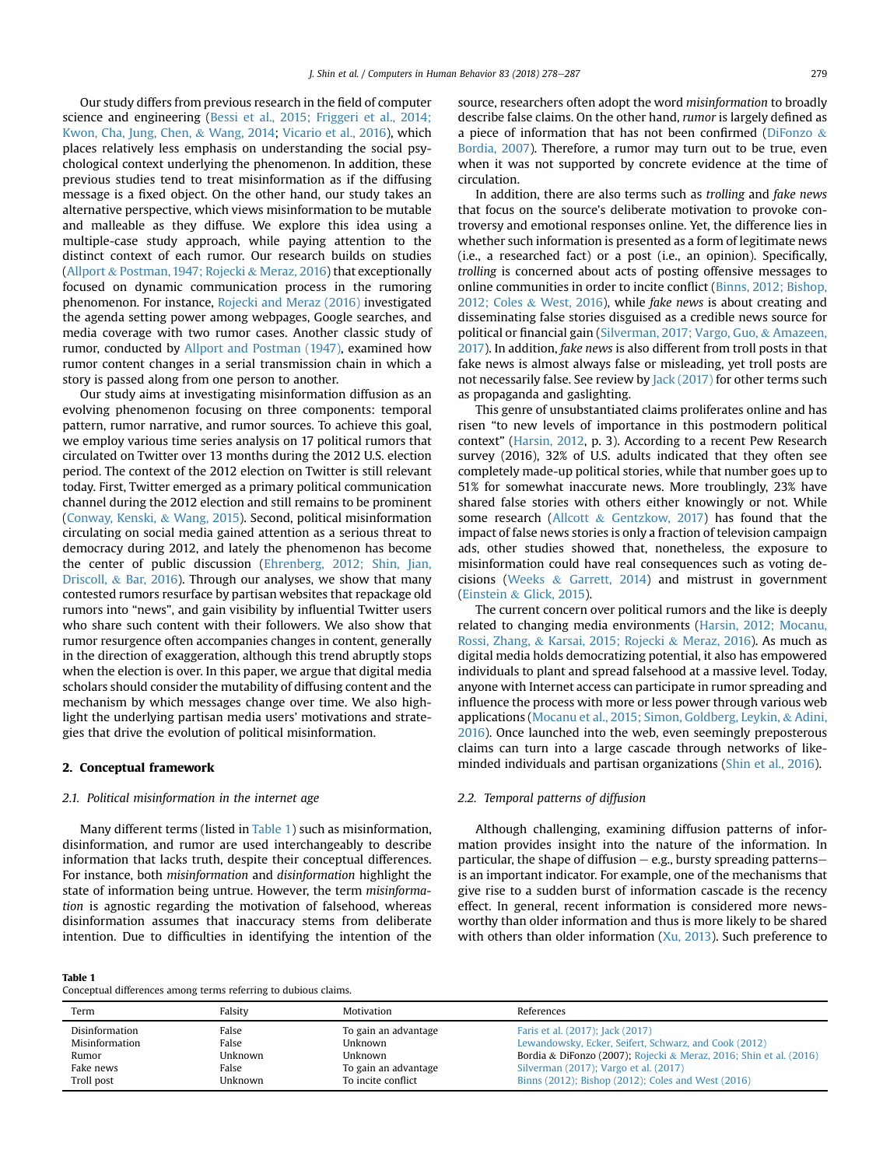Our study differs from previous research in the field of computer science and engineering [\(Bessi et al., 2015; Friggeri et al., 2014;](#page-8-0) [Kwon, Cha, Jung, Chen,](#page-8-0) & [Wang, 2014;](#page-8-0) [Vicario et al., 2016\)](#page-9-0), which places relatively less emphasis on understanding the social psychological context underlying the phenomenon. In addition, these previous studies tend to treat misinformation as if the diffusing message is a fixed object. On the other hand, our study takes an alternative perspective, which views misinformation to be mutable and malleable as they diffuse. We explore this idea using a multiple-case study approach, while paying attention to the distinct context of each rumor. Our research builds on studies ([Allport](#page-8-0) & [Postman, 1947; Rojecki](#page-8-0) & [Meraz, 2016\)](#page-8-0) that exceptionally focused on dynamic communication process in the rumoring phenomenon. For instance, [Rojecki and Meraz \(2016\)](#page-8-0) investigated the agenda setting power among webpages, Google searches, and media coverage with two rumor cases. Another classic study of rumor, conducted by [Allport and Postman \(1947\),](#page-8-0) examined how rumor content changes in a serial transmission chain in which a story is passed along from one person to another.

Our study aims at investigating misinformation diffusion as an evolving phenomenon focusing on three components: temporal pattern, rumor narrative, and rumor sources. To achieve this goal, we employ various time series analysis on 17 political rumors that circulated on Twitter over 13 months during the 2012 U.S. election period. The context of the 2012 election on Twitter is still relevant today. First, Twitter emerged as a primary political communication channel during the 2012 election and still remains to be prominent ([Conway, Kenski,](#page-8-0) & [Wang, 2015\)](#page-8-0). Second, political misinformation circulating on social media gained attention as a serious threat to democracy during 2012, and lately the phenomenon has become the center of public discussion ([Ehrenberg, 2012; Shin, Jian,](#page-8-0) [Driscoll,](#page-8-0) & [Bar, 2016\)](#page-8-0). Through our analyses, we show that many contested rumors resurface by partisan websites that repackage old rumors into "news", and gain visibility by influential Twitter users who share such content with their followers. We also show that rumor resurgence often accompanies changes in content, generally in the direction of exaggeration, although this trend abruptly stops when the election is over. In this paper, we argue that digital media scholars should consider the mutability of diffusing content and the mechanism by which messages change over time. We also highlight the underlying partisan media users' motivations and strategies that drive the evolution of political misinformation.

## 2. Conceptual framework

Table 1

## 2.1. Political misinformation in the internet age

Many different terms (listed in Table 1) such as misinformation, disinformation, and rumor are used interchangeably to describe information that lacks truth, despite their conceptual differences. For instance, both misinformation and disinformation highlight the state of information being untrue. However, the term misinformation is agnostic regarding the motivation of falsehood, whereas disinformation assumes that inaccuracy stems from deliberate intention. Due to difficulties in identifying the intention of the

Conceptual differences among terms referring to dubious claims.

source, researchers often adopt the word misinformation to broadly describe false claims. On the other hand, rumor is largely defined as a piece of information that has not been confirmed ([DiFonzo](#page-8-0)  $\&$ [Bordia, 2007](#page-8-0)). Therefore, a rumor may turn out to be true, even when it was not supported by concrete evidence at the time of circulation.

In addition, there are also terms such as trolling and fake news that focus on the source's deliberate motivation to provoke controversy and emotional responses online. Yet, the difference lies in whether such information is presented as a form of legitimate news (i.e., a researched fact) or a post (i.e., an opinion). Specifically, trolling is concerned about acts of posting offensive messages to online communities in order to incite conflict ([Binns, 2012; Bishop,](#page-8-0) [2012; Coles](#page-8-0) & [West, 2016](#page-8-0)), while fake news is about creating and disseminating false stories disguised as a credible news source for political or financial gain ([Silverman, 2017; Vargo, Guo,](#page-8-0) & [Amazeen,](#page-8-0) [2017](#page-8-0)). In addition, fake news is also different from troll posts in that fake news is almost always false or misleading, yet troll posts are not necessarily false. See review by [Jack \(2017\)](#page-8-0) for other terms such as propaganda and gaslighting.

This genre of unsubstantiated claims proliferates online and has risen "to new levels of importance in this postmodern political context" [\(Harsin, 2012](#page-8-0), p. 3). According to a recent Pew Research survey (2016), 32% of U.S. adults indicated that they often see completely made-up political stories, while that number goes up to 51% for somewhat inaccurate news. More troublingly, 23% have shared false stories with others either knowingly or not. While some research ([Allcott](#page-8-0) & [Gentzkow, 2017\)](#page-8-0) has found that the impact of false news stories is only a fraction of television campaign ads, other studies showed that, nonetheless, the exposure to misinformation could have real consequences such as voting decisions [\(Weeks](#page-9-0) & [Garrett, 2014\)](#page-9-0) and mistrust in government ([Einstein](#page-8-0) & [Glick, 2015\)](#page-8-0).

The current concern over political rumors and the like is deeply related to changing media environments ([Harsin, 2012; Mocanu,](#page-8-0) [Rossi, Zhang,](#page-8-0) & [Karsai, 2015; Rojecki](#page-8-0) & [Meraz, 2016\)](#page-8-0). As much as digital media holds democratizing potential, it also has empowered individuals to plant and spread falsehood at a massive level. Today, anyone with Internet access can participate in rumor spreading and influence the process with more or less power through various web applications ([Mocanu et al., 2015; Simon, Goldberg, Leykin,](#page-8-0) & [Adini,](#page-8-0) [2016\)](#page-8-0). Once launched into the web, even seemingly preposterous claims can turn into a large cascade through networks of likeminded individuals and partisan organizations ([Shin et al., 2016\)](#page-8-0).

#### 2.2. Temporal patterns of diffusion

Although challenging, examining diffusion patterns of information provides insight into the nature of the information. In particular, the shape of diffusion  $-$  e.g., bursty spreading patterns $$ is an important indicator. For example, one of the mechanisms that give rise to a sudden burst of information cascade is the recency effect. In general, recent information is considered more newsworthy than older information and thus is more likely to be shared with others than older information  $(X<sub>u</sub>, 2013)$ . Such preference to

| Term           | Falsity | Motivation           | References                                                         |
|----------------|---------|----------------------|--------------------------------------------------------------------|
| Disinformation | False   | To gain an advantage | Faris et al. (2017); Jack (2017)                                   |
| Misinformation | False   | Unknown              | Lewandowsky, Ecker, Seifert, Schwarz, and Cook (2012)              |
| Rumor          | Unknown | Unknown              | Bordia & DiFonzo (2007); Rojecki & Meraz, 2016; Shin et al. (2016) |
| Fake news      | False   | To gain an advantage | Silverman (2017); Vargo et al. (2017)                              |
| Troll post     | Unknown | To incite conflict   | Binns (2012); Bishop (2012); Coles and West (2016)                 |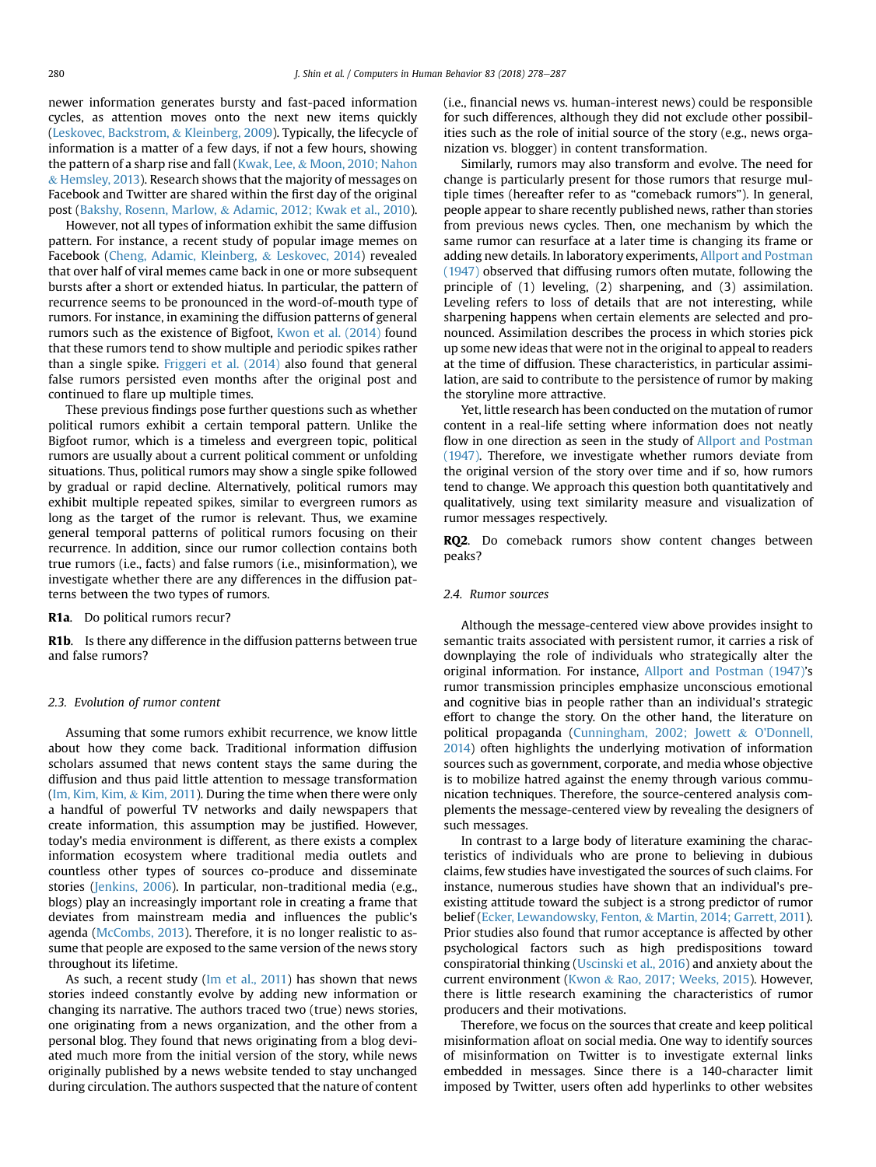newer information generates bursty and fast-paced information cycles, as attention moves onto the next new items quickly ([Leskovec, Backstrom,](#page-8-0) & [Kleinberg, 2009](#page-8-0)). Typically, the lifecycle of information is a matter of a few days, if not a few hours, showing the pattern of a sharp rise and fall ([Kwak, Lee,](#page-8-0) & [Moon, 2010; Nahon](#page-8-0) & [Hemsley, 2013](#page-8-0)). Research shows that the majority of messages on Facebook and Twitter are shared within the first day of the original post [\(Bakshy, Rosenn, Marlow,](#page-8-0) & [Adamic, 2012; Kwak et al., 2010\)](#page-8-0).

However, not all types of information exhibit the same diffusion pattern. For instance, a recent study of popular image memes on Facebook [\(Cheng, Adamic, Kleinberg,](#page-8-0) & [Leskovec, 2014](#page-8-0)) revealed that over half of viral memes came back in one or more subsequent bursts after a short or extended hiatus. In particular, the pattern of recurrence seems to be pronounced in the word-of-mouth type of rumors. For instance, in examining the diffusion patterns of general rumors such as the existence of Bigfoot, [Kwon et al. \(2014\)](#page-8-0) found that these rumors tend to show multiple and periodic spikes rather than a single spike. [Friggeri et al. \(2014\)](#page-8-0) also found that general false rumors persisted even months after the original post and continued to flare up multiple times.

These previous findings pose further questions such as whether political rumors exhibit a certain temporal pattern. Unlike the Bigfoot rumor, which is a timeless and evergreen topic, political rumors are usually about a current political comment or unfolding situations. Thus, political rumors may show a single spike followed by gradual or rapid decline. Alternatively, political rumors may exhibit multiple repeated spikes, similar to evergreen rumors as long as the target of the rumor is relevant. Thus, we examine general temporal patterns of political rumors focusing on their recurrence. In addition, since our rumor collection contains both true rumors (i.e., facts) and false rumors (i.e., misinformation), we investigate whether there are any differences in the diffusion patterns between the two types of rumors.

R1a. Do political rumors recur?

R1b. Is there any difference in the diffusion patterns between true and false rumors?

## 2.3. Evolution of rumor content

Assuming that some rumors exhibit recurrence, we know little about how they come back. Traditional information diffusion scholars assumed that news content stays the same during the diffusion and thus paid little attention to message transformation ([Im, Kim, Kim,](#page-8-0) & [Kim, 2011](#page-8-0)). During the time when there were only a handful of powerful TV networks and daily newspapers that create information, this assumption may be justified. However, today's media environment is different, as there exists a complex information ecosystem where traditional media outlets and countless other types of sources co-produce and disseminate stories [\(Jenkins, 2006\)](#page-8-0). In particular, non-traditional media (e.g., blogs) play an increasingly important role in creating a frame that deviates from mainstream media and influences the public's agenda ([McCombs, 2013](#page-8-0)). Therefore, it is no longer realistic to assume that people are exposed to the same version of the news story throughout its lifetime.

As such, a recent study [\(Im et al., 2011](#page-8-0)) has shown that news stories indeed constantly evolve by adding new information or changing its narrative. The authors traced two (true) news stories, one originating from a news organization, and the other from a personal blog. They found that news originating from a blog deviated much more from the initial version of the story, while news originally published by a news website tended to stay unchanged during circulation. The authors suspected that the nature of content (i.e., financial news vs. human-interest news) could be responsible for such differences, although they did not exclude other possibilities such as the role of initial source of the story (e.g., news organization vs. blogger) in content transformation.

Similarly, rumors may also transform and evolve. The need for change is particularly present for those rumors that resurge multiple times (hereafter refer to as "comeback rumors"). In general, people appear to share recently published news, rather than stories from previous news cycles. Then, one mechanism by which the same rumor can resurface at a later time is changing its frame or adding new details. In laboratory experiments, [Allport and Postman](#page-8-0) [\(1947\)](#page-8-0) observed that diffusing rumors often mutate, following the principle of (1) leveling, (2) sharpening, and (3) assimilation. Leveling refers to loss of details that are not interesting, while sharpening happens when certain elements are selected and pronounced. Assimilation describes the process in which stories pick up some new ideas that were not in the original to appeal to readers at the time of diffusion. These characteristics, in particular assimilation, are said to contribute to the persistence of rumor by making the storyline more attractive.

Yet, little research has been conducted on the mutation of rumor content in a real-life setting where information does not neatly flow in one direction as seen in the study of [Allport and Postman](#page-8-0) [\(1947\).](#page-8-0) Therefore, we investigate whether rumors deviate from the original version of the story over time and if so, how rumors tend to change. We approach this question both quantitatively and qualitatively, using text similarity measure and visualization of rumor messages respectively.

RQ2. Do comeback rumors show content changes between peaks?

## 2.4. Rumor sources

Although the message-centered view above provides insight to semantic traits associated with persistent rumor, it carries a risk of downplaying the role of individuals who strategically alter the original information. For instance, [Allport and Postman \(1947\)](#page-8-0)'s rumor transmission principles emphasize unconscious emotional and cognitive bias in people rather than an individual's strategic effort to change the story. On the other hand, the literature on political propaganda [\(Cunningham, 2002; Jowett](#page-8-0) & [O'Donnell,](#page-8-0) [2014\)](#page-8-0) often highlights the underlying motivation of information sources such as government, corporate, and media whose objective is to mobilize hatred against the enemy through various communication techniques. Therefore, the source-centered analysis complements the message-centered view by revealing the designers of such messages.

In contrast to a large body of literature examining the characteristics of individuals who are prone to believing in dubious claims, few studies have investigated the sources of such claims. For instance, numerous studies have shown that an individual's preexisting attitude toward the subject is a strong predictor of rumor belief ([Ecker, Lewandowsky, Fenton,](#page-8-0) & [Martin, 2014; Garrett, 2011\)](#page-8-0). Prior studies also found that rumor acceptance is affected by other psychological factors such as high predispositions toward conspiratorial thinking ([Uscinski et al., 2016](#page-9-0)) and anxiety about the current environment ([Kwon](#page-8-0) & [Rao, 2017; Weeks, 2015\)](#page-8-0). However, there is little research examining the characteristics of rumor producers and their motivations.

Therefore, we focus on the sources that create and keep political misinformation afloat on social media. One way to identify sources of misinformation on Twitter is to investigate external links embedded in messages. Since there is a 140-character limit imposed by Twitter, users often add hyperlinks to other websites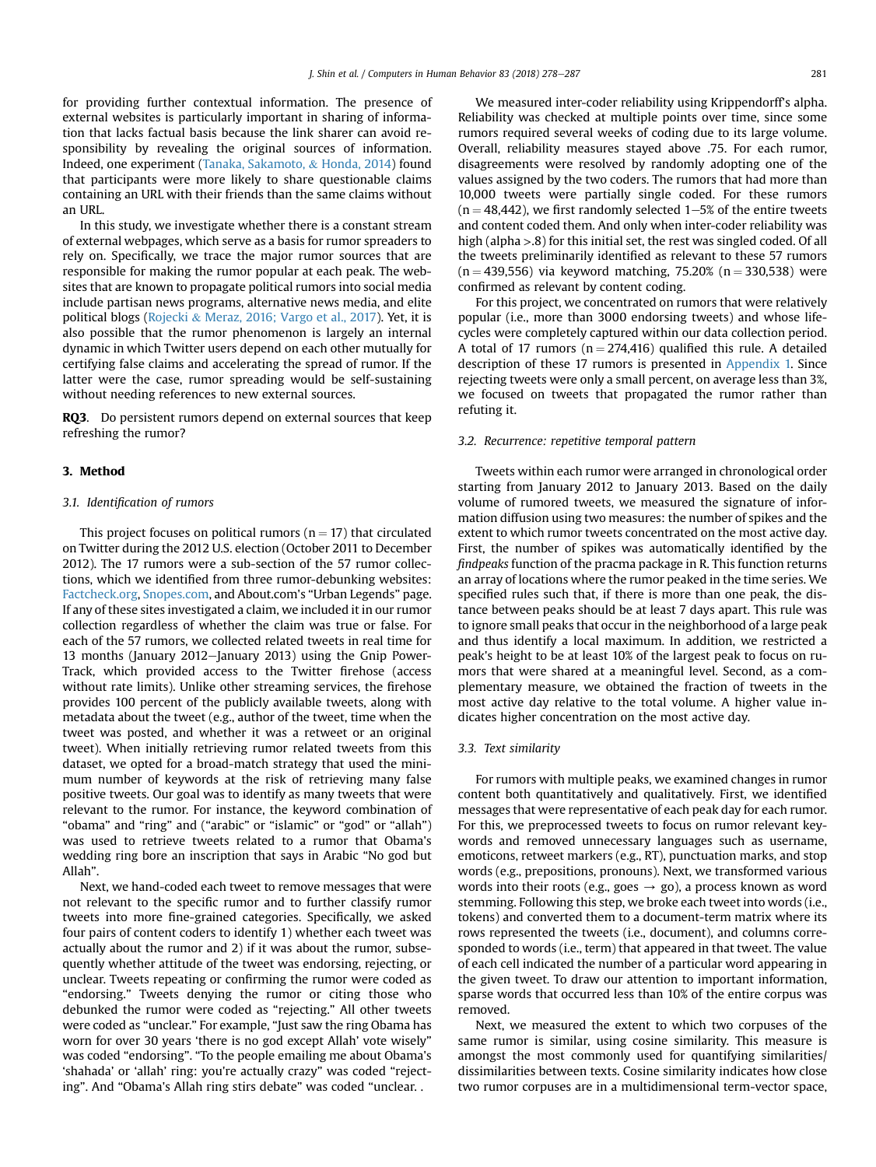for providing further contextual information. The presence of external websites is particularly important in sharing of information that lacks factual basis because the link sharer can avoid responsibility by revealing the original sources of information. Indeed, one experiment ([Tanaka, Sakamoto,](#page-8-0) & [Honda, 2014](#page-8-0)) found that participants were more likely to share questionable claims containing an URL with their friends than the same claims without an URL.

In this study, we investigate whether there is a constant stream of external webpages, which serve as a basis for rumor spreaders to rely on. Specifically, we trace the major rumor sources that are responsible for making the rumor popular at each peak. The websites that are known to propagate political rumors into social media include partisan news programs, alternative news media, and elite political blogs ([Rojecki](#page-8-0) & [Meraz, 2016; Vargo et al., 2017](#page-8-0)). Yet, it is also possible that the rumor phenomenon is largely an internal dynamic in which Twitter users depend on each other mutually for certifying false claims and accelerating the spread of rumor. If the latter were the case, rumor spreading would be self-sustaining without needing references to new external sources.

RQ3. Do persistent rumors depend on external sources that keep refreshing the rumor?

## 3. Method

## 3.1. Identification of rumors

This project focuses on political rumors ( $n = 17$ ) that circulated on Twitter during the 2012 U.S. election (October 2011 to December 2012). The 17 rumors were a sub-section of the 57 rumor collections, which we identified from three rumor-debunking websites: [Factcheck.org,](http://Factcheck.org) [Snopes.com](http://Snopes.com), and About.com's "Urban Legends" page. If any of these sites investigated a claim, we included it in our rumor collection regardless of whether the claim was true or false. For each of the 57 rumors, we collected related tweets in real time for 13 months (January 2012-January 2013) using the Gnip Power-Track, which provided access to the Twitter firehose (access without rate limits). Unlike other streaming services, the firehose provides 100 percent of the publicly available tweets, along with metadata about the tweet (e.g., author of the tweet, time when the tweet was posted, and whether it was a retweet or an original tweet). When initially retrieving rumor related tweets from this dataset, we opted for a broad-match strategy that used the minimum number of keywords at the risk of retrieving many false positive tweets. Our goal was to identify as many tweets that were relevant to the rumor. For instance, the keyword combination of "obama" and "ring" and ("arabic" or "islamic" or "god" or "allah") was used to retrieve tweets related to a rumor that Obama's wedding ring bore an inscription that says in Arabic "No god but Allah".

Next, we hand-coded each tweet to remove messages that were not relevant to the specific rumor and to further classify rumor tweets into more fine-grained categories. Specifically, we asked four pairs of content coders to identify 1) whether each tweet was actually about the rumor and 2) if it was about the rumor, subsequently whether attitude of the tweet was endorsing, rejecting, or unclear. Tweets repeating or confirming the rumor were coded as "endorsing." Tweets denying the rumor or citing those who debunked the rumor were coded as "rejecting." All other tweets were coded as "unclear." For example, "Just saw the ring Obama has worn for over 30 years 'there is no god except Allah' vote wisely" was coded "endorsing". "To the people emailing me about Obama's 'shahada' or 'allah' ring: you're actually crazy" was coded "rejecting". And "Obama's Allah ring stirs debate" was coded "unclear. .

We measured inter-coder reliability using Krippendorff's alpha. Reliability was checked at multiple points over time, since some rumors required several weeks of coding due to its large volume. Overall, reliability measures stayed above .75. For each rumor, disagreements were resolved by randomly adopting one of the values assigned by the two coders. The rumors that had more than 10,000 tweets were partially single coded. For these rumors  $(n = 48.442)$ , we first randomly selected 1–5% of the entire tweets and content coded them. And only when inter-coder reliability was high (alpha >.8) for this initial set, the rest was singled coded. Of all the tweets preliminarily identified as relevant to these 57 rumors  $(n = 439,556)$  via keyword matching, 75.20% (n = 330,538) were confirmed as relevant by content coding.

For this project, we concentrated on rumors that were relatively popular (i.e., more than 3000 endorsing tweets) and whose lifecycles were completely captured within our data collection period. A total of 17 rumors ( $n = 274,416$ ) qualified this rule. A detailed description of these 17 rumors is presented in Appendix 1. Since rejecting tweets were only a small percent, on average less than 3%, we focused on tweets that propagated the rumor rather than refuting it.

#### 3.2. Recurrence: repetitive temporal pattern

Tweets within each rumor were arranged in chronological order starting from January 2012 to January 2013. Based on the daily volume of rumored tweets, we measured the signature of information diffusion using two measures: the number of spikes and the extent to which rumor tweets concentrated on the most active day. First, the number of spikes was automatically identified by the findpeaks function of the pracma package in R. This function returns an array of locations where the rumor peaked in the time series. We specified rules such that, if there is more than one peak, the distance between peaks should be at least 7 days apart. This rule was to ignore small peaks that occur in the neighborhood of a large peak and thus identify a local maximum. In addition, we restricted a peak's height to be at least 10% of the largest peak to focus on rumors that were shared at a meaningful level. Second, as a complementary measure, we obtained the fraction of tweets in the most active day relative to the total volume. A higher value indicates higher concentration on the most active day.

#### 3.3. Text similarity

For rumors with multiple peaks, we examined changes in rumor content both quantitatively and qualitatively. First, we identified messages that were representative of each peak day for each rumor. For this, we preprocessed tweets to focus on rumor relevant keywords and removed unnecessary languages such as username, emoticons, retweet markers (e.g., RT), punctuation marks, and stop words (e.g., prepositions, pronouns). Next, we transformed various words into their roots (e.g., goes  $\rightarrow$  go), a process known as word stemming. Following this step, we broke each tweet into words (i.e., tokens) and converted them to a document-term matrix where its rows represented the tweets (i.e., document), and columns corresponded to words (i.e., term) that appeared in that tweet. The value of each cell indicated the number of a particular word appearing in the given tweet. To draw our attention to important information, sparse words that occurred less than 10% of the entire corpus was removed.

Next, we measured the extent to which two corpuses of the same rumor is similar, using cosine similarity. This measure is amongst the most commonly used for quantifying similarities/ dissimilarities between texts. Cosine similarity indicates how close two rumor corpuses are in a multidimensional term-vector space,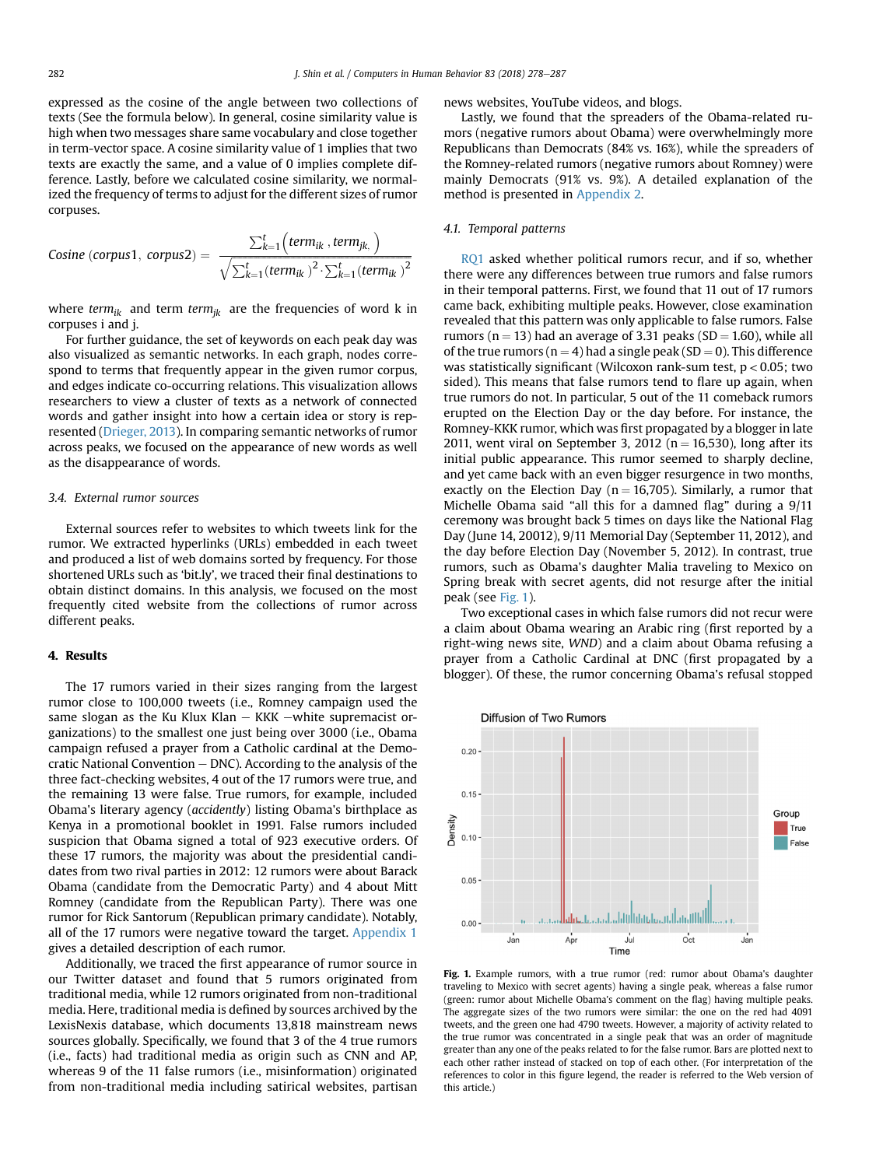expressed as the cosine of the angle between two collections of texts (See the formula below). In general, cosine similarity value is high when two messages share same vocabulary and close together in term-vector space. A cosine similarity value of 1 implies that two texts are exactly the same, and a value of 0 implies complete difference. Lastly, before we calculated cosine similarity, we normalized the frequency of terms to adjust for the different sizes of rumor corpuses.

Cosine (corpus1, corpus2) = 
$$
\frac{\sum_{k=1}^{t} (term_{ik}, term_{jk})}{\sqrt{\sum_{k=1}^{t} (term_{ik})^{2} \cdot \sum_{k=1}^{t} (term_{ik})^{2}}}
$$

where term<sub>ik</sub> and term term<sub>ik</sub> are the frequencies of word k in corpuses i and j.

For further guidance, the set of keywords on each peak day was also visualized as semantic networks. In each graph, nodes correspond to terms that frequently appear in the given rumor corpus, and edges indicate co-occurring relations. This visualization allows researchers to view a cluster of texts as a network of connected words and gather insight into how a certain idea or story is represented [\(Drieger, 2013\)](#page-8-0). In comparing semantic networks of rumor across peaks, we focused on the appearance of new words as well as the disappearance of words.

## 3.4. External rumor sources

External sources refer to websites to which tweets link for the rumor. We extracted hyperlinks (URLs) embedded in each tweet and produced a list of web domains sorted by frequency. For those shortened URLs such as 'bit.ly', we traced their final destinations to obtain distinct domains. In this analysis, we focused on the most frequently cited website from the collections of rumor across different peaks.

## 4. Results

The 17 rumors varied in their sizes ranging from the largest rumor close to 100,000 tweets (i.e., Romney campaign used the same slogan as the Ku Klux Klan  $-$  KKK  $-$ white supremacist organizations) to the smallest one just being over 3000 (i.e., Obama campaign refused a prayer from a Catholic cardinal at the Democratic National Convention  $-$  DNC). According to the analysis of the three fact-checking websites, 4 out of the 17 rumors were true, and the remaining 13 were false. True rumors, for example, included Obama's literary agency (accidently) listing Obama's birthplace as Kenya in a promotional booklet in 1991. False rumors included suspicion that Obama signed a total of 923 executive orders. Of these 17 rumors, the majority was about the presidential candidates from two rival parties in 2012: 12 rumors were about Barack Obama (candidate from the Democratic Party) and 4 about Mitt Romney (candidate from the Republican Party). There was one rumor for Rick Santorum (Republican primary candidate). Notably, all of the 17 rumors were negative toward the target. Appendix 1 gives a detailed description of each rumor.

Additionally, we traced the first appearance of rumor source in our Twitter dataset and found that 5 rumors originated from traditional media, while 12 rumors originated from non-traditional media. Here, traditional media is defined by sources archived by the LexisNexis database, which documents 13,818 mainstream news sources globally. Specifically, we found that 3 of the 4 true rumors (i.e., facts) had traditional media as origin such as CNN and AP, whereas 9 of the 11 false rumors (i.e., misinformation) originated from non-traditional media including satirical websites, partisan news websites, YouTube videos, and blogs.

Lastly, we found that the spreaders of the Obama-related rumors (negative rumors about Obama) were overwhelmingly more Republicans than Democrats (84% vs. 16%), while the spreaders of the Romney-related rumors (negative rumors about Romney) were mainly Democrats (91% vs. 9%). A detailed explanation of the method is presented in Appendix 2.

## 4.1. Temporal patterns

RQ1 asked whether political rumors recur, and if so, whether there were any differences between true rumors and false rumors in their temporal patterns. First, we found that 11 out of 17 rumors came back, exhibiting multiple peaks. However, close examination revealed that this pattern was only applicable to false rumors. False rumors ( $n = 13$ ) had an average of 3.31 peaks ( $SD = 1.60$ ), while all of the true rumors ( $n = 4$ ) had a single peak (SD = 0). This difference was statistically significant (Wilcoxon rank-sum test,  $p < 0.05$ ; two sided). This means that false rumors tend to flare up again, when true rumors do not. In particular, 5 out of the 11 comeback rumors erupted on the Election Day or the day before. For instance, the Romney-KKK rumor, which was first propagated by a blogger in late 2011, went viral on September 3, 2012 ( $n = 16,530$ ), long after its initial public appearance. This rumor seemed to sharply decline, and yet came back with an even bigger resurgence in two months, exactly on the Election Day ( $n = 16,705$ ). Similarly, a rumor that Michelle Obama said "all this for a damned flag" during a 9/11 ceremony was brought back 5 times on days like the National Flag Day (June 14, 20012), 9/11 Memorial Day (September 11, 2012), and the day before Election Day (November 5, 2012). In contrast, true rumors, such as Obama's daughter Malia traveling to Mexico on Spring break with secret agents, did not resurge after the initial peak (see Fig. 1).

Two exceptional cases in which false rumors did not recur were a claim about Obama wearing an Arabic ring (first reported by a right-wing news site, WND) and a claim about Obama refusing a prayer from a Catholic Cardinal at DNC (first propagated by a blogger). Of these, the rumor concerning Obama's refusal stopped



Fig. 1. Example rumors, with a true rumor (red: rumor about Obama's daughter traveling to Mexico with secret agents) having a single peak, whereas a false rumor (green: rumor about Michelle Obama's comment on the flag) having multiple peaks. The aggregate sizes of the two rumors were similar: the one on the red had 4091 tweets, and the green one had 4790 tweets. However, a majority of activity related to the true rumor was concentrated in a single peak that was an order of magnitude greater than any one of the peaks related to for the false rumor. Bars are plotted next to each other rather instead of stacked on top of each other. (For interpretation of the references to color in this figure legend, the reader is referred to the Web version of this article.)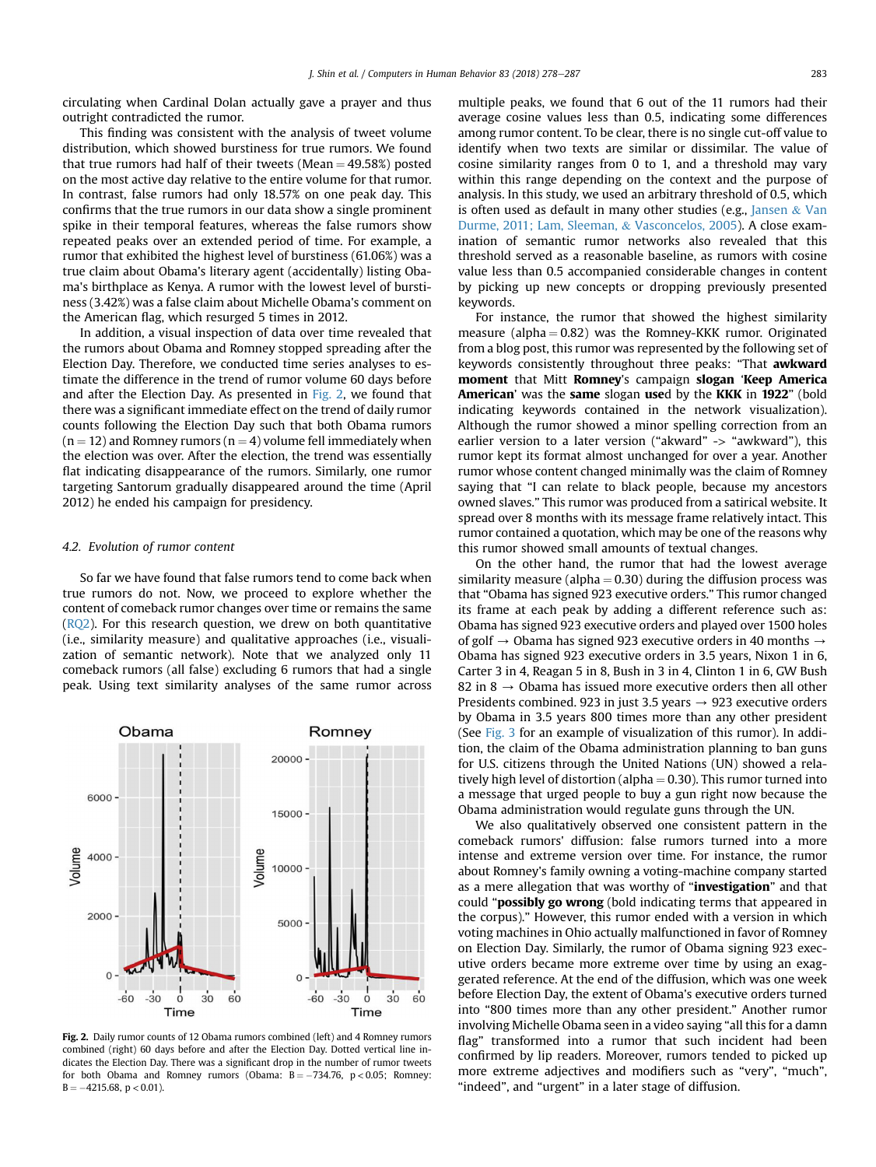circulating when Cardinal Dolan actually gave a prayer and thus outright contradicted the rumor.

This finding was consistent with the analysis of tweet volume distribution, which showed burstiness for true rumors. We found that true rumors had half of their tweets (Mean  $=$  49.58%) posted on the most active day relative to the entire volume for that rumor. In contrast, false rumors had only 18.57% on one peak day. This confirms that the true rumors in our data show a single prominent spike in their temporal features, whereas the false rumors show repeated peaks over an extended period of time. For example, a rumor that exhibited the highest level of burstiness (61.06%) was a true claim about Obama's literary agent (accidentally) listing Obama's birthplace as Kenya. A rumor with the lowest level of burstiness (3.42%) was a false claim about Michelle Obama's comment on the American flag, which resurged 5 times in 2012.

In addition, a visual inspection of data over time revealed that the rumors about Obama and Romney stopped spreading after the Election Day. Therefore, we conducted time series analyses to estimate the difference in the trend of rumor volume 60 days before and after the Election Day. As presented in Fig. 2, we found that there was a significant immediate effect on the trend of daily rumor counts following the Election Day such that both Obama rumors  $(n = 12)$  and Romney rumors  $(n = 4)$  volume fell immediately when the election was over. After the election, the trend was essentially flat indicating disappearance of the rumors. Similarly, one rumor targeting Santorum gradually disappeared around the time (April 2012) he ended his campaign for presidency.

#### 4.2. Evolution of rumor content

So far we have found that false rumors tend to come back when true rumors do not. Now, we proceed to explore whether the content of comeback rumor changes over time or remains the same (RQ2). For this research question, we drew on both quantitative (i.e., similarity measure) and qualitative approaches (i.e., visualization of semantic network). Note that we analyzed only 11 comeback rumors (all false) excluding 6 rumors that had a single peak. Using text similarity analyses of the same rumor across



Fig. 2. Daily rumor counts of 12 Obama rumors combined (left) and 4 Romney rumors combined (right) 60 days before and after the Election Day. Dotted vertical line indicates the Election Day. There was a significant drop in the number of rumor tweets for both Obama and Romney rumors (Obama:  $B = -734.76$ ,  $p < 0.05$ ; Romney:  $B = -4215.68, p < 0.01$ ).

multiple peaks, we found that 6 out of the 11 rumors had their average cosine values less than 0.5, indicating some differences among rumor content. To be clear, there is no single cut-off value to identify when two texts are similar or dissimilar. The value of cosine similarity ranges from 0 to 1, and a threshold may vary within this range depending on the context and the purpose of analysis. In this study, we used an arbitrary threshold of 0.5, which is often used as default in many other studies (e.g., [Jansen](#page-8-0)  $&$  [Van](#page-8-0) [Durme, 2011; Lam, Sleeman,](#page-8-0) & [Vasconcelos, 2005](#page-8-0)). A close examination of semantic rumor networks also revealed that this threshold served as a reasonable baseline, as rumors with cosine value less than 0.5 accompanied considerable changes in content by picking up new concepts or dropping previously presented keywords.

For instance, the rumor that showed the highest similarity measure (alpha  $= 0.82$ ) was the Romney-KKK rumor. Originated from a blog post, this rumor was represented by the following set of keywords consistently throughout three peaks: "That awkward moment that Mitt Romney's campaign slogan 'Keep America American' was the same slogan used by the KKK in 1922" (bold indicating keywords contained in the network visualization). Although the rumor showed a minor spelling correction from an earlier version to a later version ("akward" -> "awkward"), this rumor kept its format almost unchanged for over a year. Another rumor whose content changed minimally was the claim of Romney saying that "I can relate to black people, because my ancestors owned slaves." This rumor was produced from a satirical website. It spread over 8 months with its message frame relatively intact. This rumor contained a quotation, which may be one of the reasons why this rumor showed small amounts of textual changes.

On the other hand, the rumor that had the lowest average similarity measure (alpha  $= 0.30$ ) during the diffusion process was that "Obama has signed 923 executive orders." This rumor changed its frame at each peak by adding a different reference such as: Obama has signed 923 executive orders and played over 1500 holes of golf  $\rightarrow$  Obama has signed 923 executive orders in 40 months  $\rightarrow$ Obama has signed 923 executive orders in 3.5 years, Nixon 1 in 6, Carter 3 in 4, Reagan 5 in 8, Bush in 3 in 4, Clinton 1 in 6, GW Bush 82 in 8  $\rightarrow$  Obama has issued more executive orders then all other Presidents combined. 923 in just 3.5 years  $\rightarrow$  923 executive orders by Obama in 3.5 years 800 times more than any other president (See [Fig. 3](#page-6-0) for an example of visualization of this rumor). In addition, the claim of the Obama administration planning to ban guns for U.S. citizens through the United Nations (UN) showed a relatively high level of distortion (alpha  $= 0.30$ ). This rumor turned into a message that urged people to buy a gun right now because the Obama administration would regulate guns through the UN.

We also qualitatively observed one consistent pattern in the comeback rumors' diffusion: false rumors turned into a more intense and extreme version over time. For instance, the rumor about Romney's family owning a voting-machine company started as a mere allegation that was worthy of "investigation" and that could "possibly go wrong (bold indicating terms that appeared in the corpus)." However, this rumor ended with a version in which voting machines in Ohio actually malfunctioned in favor of Romney on Election Day. Similarly, the rumor of Obama signing 923 executive orders became more extreme over time by using an exaggerated reference. At the end of the diffusion, which was one week before Election Day, the extent of Obama's executive orders turned into "800 times more than any other president." Another rumor involving Michelle Obama seen in a video saying "all this for a damn flag" transformed into a rumor that such incident had been confirmed by lip readers. Moreover, rumors tended to picked up more extreme adjectives and modifiers such as "very", "much", "indeed", and "urgent" in a later stage of diffusion.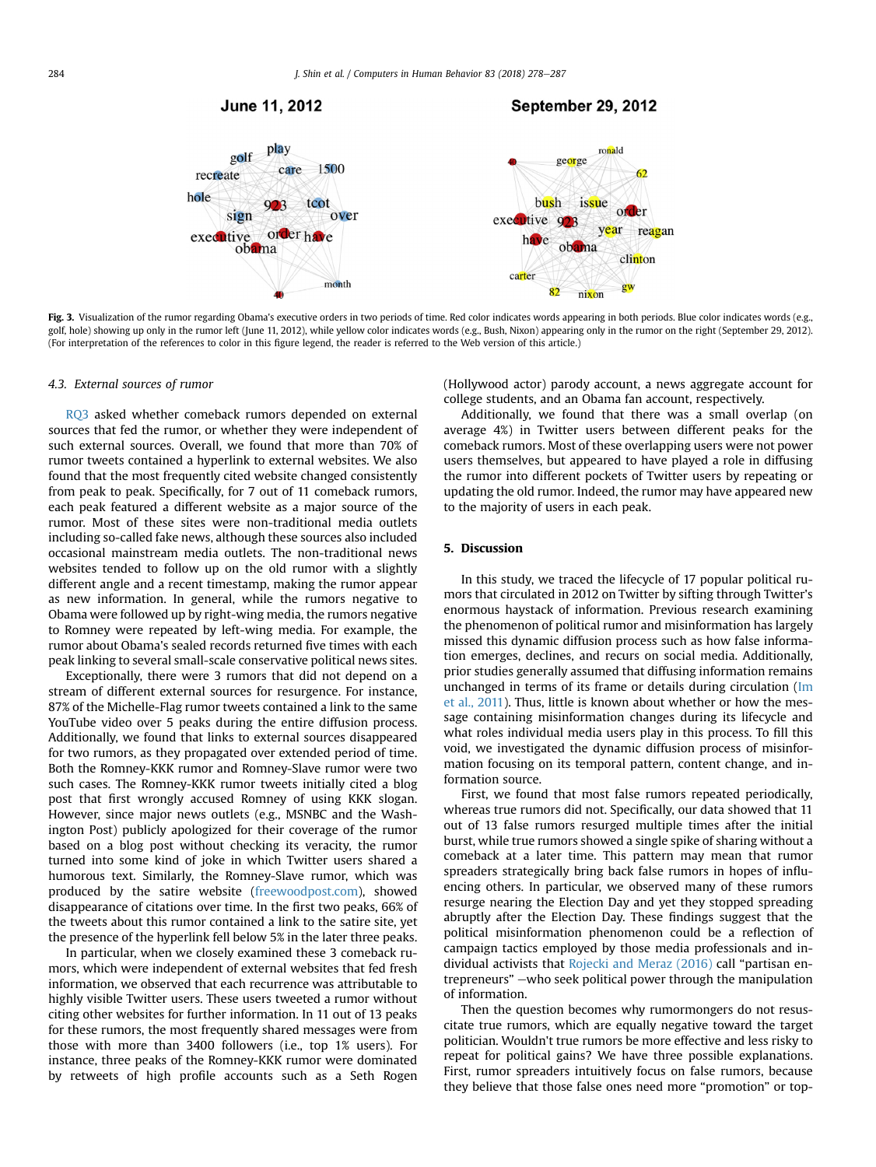## June 11, 2012



<span id="page-6-0"></span>

Fig. 3. Visualization of the rumor regarding Obama's executive orders in two periods of time. Red color indicates words appearing in both periods. Blue color indicates words (e.g., golf, hole) showing up only in the rumor left (June 11, 2012), while yellow color indicates words (e.g., Bush, Nixon) appearing only in the rumor on the right (September 29, 2012). (For interpretation of the references to color in this figure legend, the reader is referred to the Web version of this article.)

#### 4.3. External sources of rumor

RQ3 asked whether comeback rumors depended on external sources that fed the rumor, or whether they were independent of such external sources. Overall, we found that more than 70% of rumor tweets contained a hyperlink to external websites. We also found that the most frequently cited website changed consistently from peak to peak. Specifically, for 7 out of 11 comeback rumors, each peak featured a different website as a major source of the rumor. Most of these sites were non-traditional media outlets including so-called fake news, although these sources also included occasional mainstream media outlets. The non-traditional news websites tended to follow up on the old rumor with a slightly different angle and a recent timestamp, making the rumor appear as new information. In general, while the rumors negative to Obama were followed up by right-wing media, the rumors negative to Romney were repeated by left-wing media. For example, the rumor about Obama's sealed records returned five times with each peak linking to several small-scale conservative political news sites.

Exceptionally, there were 3 rumors that did not depend on a stream of different external sources for resurgence. For instance, 87% of the Michelle-Flag rumor tweets contained a link to the same YouTube video over 5 peaks during the entire diffusion process. Additionally, we found that links to external sources disappeared for two rumors, as they propagated over extended period of time. Both the Romney-KKK rumor and Romney-Slave rumor were two such cases. The Romney-KKK rumor tweets initially cited a blog post that first wrongly accused Romney of using KKK slogan. However, since major news outlets (e.g., MSNBC and the Washington Post) publicly apologized for their coverage of the rumor based on a blog post without checking its veracity, the rumor turned into some kind of joke in which Twitter users shared a humorous text. Similarly, the Romney-Slave rumor, which was produced by the satire website ([freewoodpost.com](http://freewoodpost.com)), showed disappearance of citations over time. In the first two peaks, 66% of the tweets about this rumor contained a link to the satire site, yet the presence of the hyperlink fell below 5% in the later three peaks.

In particular, when we closely examined these 3 comeback rumors, which were independent of external websites that fed fresh information, we observed that each recurrence was attributable to highly visible Twitter users. These users tweeted a rumor without citing other websites for further information. In 11 out of 13 peaks for these rumors, the most frequently shared messages were from those with more than 3400 followers (i.e., top 1% users). For instance, three peaks of the Romney-KKK rumor were dominated by retweets of high profile accounts such as a Seth Rogen (Hollywood actor) parody account, a news aggregate account for college students, and an Obama fan account, respectively.

Additionally, we found that there was a small overlap (on average 4%) in Twitter users between different peaks for the comeback rumors. Most of these overlapping users were not power users themselves, but appeared to have played a role in diffusing the rumor into different pockets of Twitter users by repeating or updating the old rumor. Indeed, the rumor may have appeared new to the majority of users in each peak.

## 5. Discussion

In this study, we traced the lifecycle of 17 popular political rumors that circulated in 2012 on Twitter by sifting through Twitter's enormous haystack of information. Previous research examining the phenomenon of political rumor and misinformation has largely missed this dynamic diffusion process such as how false information emerges, declines, and recurs on social media. Additionally, prior studies generally assumed that diffusing information remains unchanged in terms of its frame or details during circulation ([Im](#page-8-0) [et al., 2011\)](#page-8-0). Thus, little is known about whether or how the message containing misinformation changes during its lifecycle and what roles individual media users play in this process. To fill this void, we investigated the dynamic diffusion process of misinformation focusing on its temporal pattern, content change, and information source.

First, we found that most false rumors repeated periodically, whereas true rumors did not. Specifically, our data showed that 11 out of 13 false rumors resurged multiple times after the initial burst, while true rumors showed a single spike of sharing without a comeback at a later time. This pattern may mean that rumor spreaders strategically bring back false rumors in hopes of influencing others. In particular, we observed many of these rumors resurge nearing the Election Day and yet they stopped spreading abruptly after the Election Day. These findings suggest that the political misinformation phenomenon could be a reflection of campaign tactics employed by those media professionals and individual activists that [Rojecki and Meraz \(2016\)](#page-8-0) call "partisan entrepreneurs" - who seek political power through the manipulation of information.

Then the question becomes why rumormongers do not resuscitate true rumors, which are equally negative toward the target politician. Wouldn't true rumors be more effective and less risky to repeat for political gains? We have three possible explanations. First, rumor spreaders intuitively focus on false rumors, because they believe that those false ones need more "promotion" or top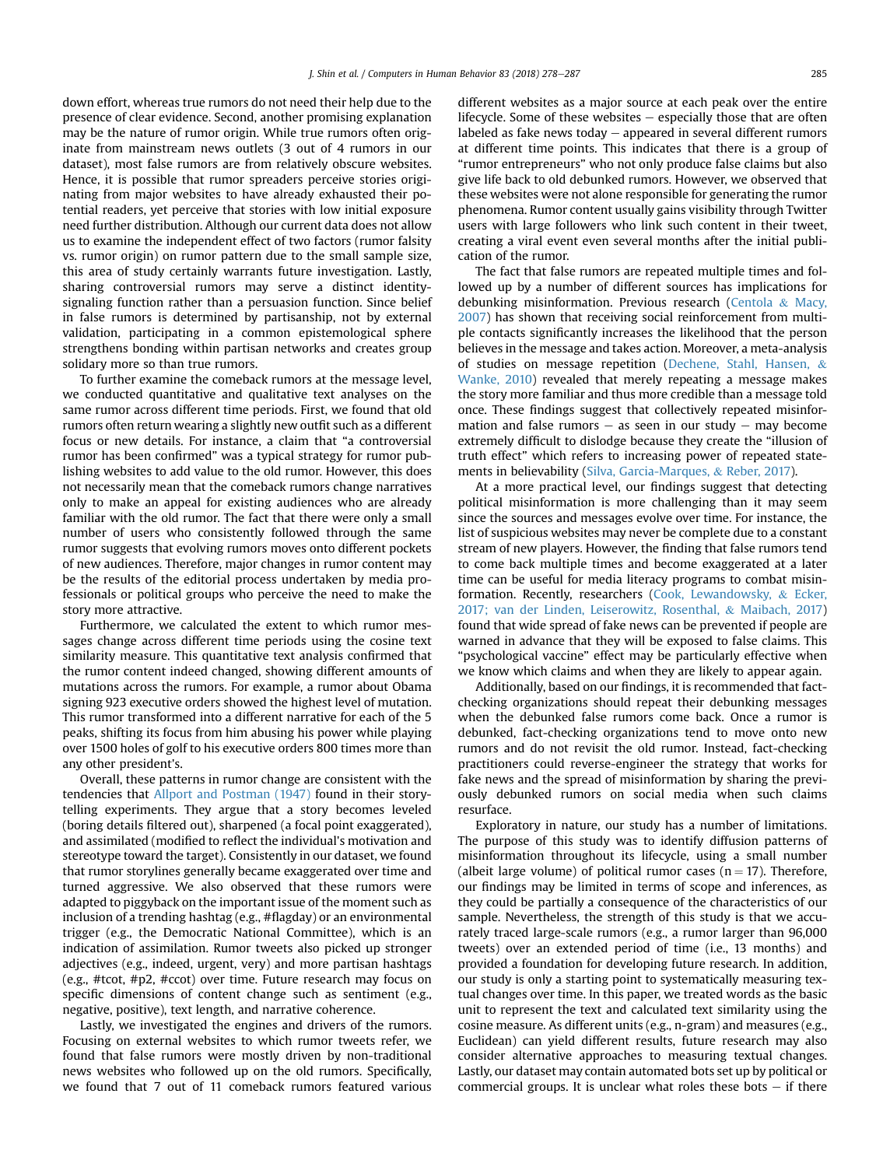down effort, whereas true rumors do not need their help due to the presence of clear evidence. Second, another promising explanation may be the nature of rumor origin. While true rumors often originate from mainstream news outlets (3 out of 4 rumors in our dataset), most false rumors are from relatively obscure websites. Hence, it is possible that rumor spreaders perceive stories originating from major websites to have already exhausted their potential readers, yet perceive that stories with low initial exposure need further distribution. Although our current data does not allow us to examine the independent effect of two factors (rumor falsity vs. rumor origin) on rumor pattern due to the small sample size, this area of study certainly warrants future investigation. Lastly, sharing controversial rumors may serve a distinct identitysignaling function rather than a persuasion function. Since belief in false rumors is determined by partisanship, not by external validation, participating in a common epistemological sphere strengthens bonding within partisan networks and creates group solidary more so than true rumors.

To further examine the comeback rumors at the message level, we conducted quantitative and qualitative text analyses on the same rumor across different time periods. First, we found that old rumors often return wearing a slightly new outfit such as a different focus or new details. For instance, a claim that "a controversial rumor has been confirmed" was a typical strategy for rumor publishing websites to add value to the old rumor. However, this does not necessarily mean that the comeback rumors change narratives only to make an appeal for existing audiences who are already familiar with the old rumor. The fact that there were only a small number of users who consistently followed through the same rumor suggests that evolving rumors moves onto different pockets of new audiences. Therefore, major changes in rumor content may be the results of the editorial process undertaken by media professionals or political groups who perceive the need to make the story more attractive.

Furthermore, we calculated the extent to which rumor messages change across different time periods using the cosine text similarity measure. This quantitative text analysis confirmed that the rumor content indeed changed, showing different amounts of mutations across the rumors. For example, a rumor about Obama signing 923 executive orders showed the highest level of mutation. This rumor transformed into a different narrative for each of the 5 peaks, shifting its focus from him abusing his power while playing over 1500 holes of golf to his executive orders 800 times more than any other president's.

Overall, these patterns in rumor change are consistent with the tendencies that [Allport and Postman \(1947\)](#page-8-0) found in their storytelling experiments. They argue that a story becomes leveled (boring details filtered out), sharpened (a focal point exaggerated), and assimilated (modified to reflect the individual's motivation and stereotype toward the target). Consistently in our dataset, we found that rumor storylines generally became exaggerated over time and turned aggressive. We also observed that these rumors were adapted to piggyback on the important issue of the moment such as inclusion of a trending hashtag (e.g., #flagday) or an environmental trigger (e.g., the Democratic National Committee), which is an indication of assimilation. Rumor tweets also picked up stronger adjectives (e.g., indeed, urgent, very) and more partisan hashtags (e.g., #tcot, #p2, #ccot) over time. Future research may focus on specific dimensions of content change such as sentiment (e.g., negative, positive), text length, and narrative coherence.

Lastly, we investigated the engines and drivers of the rumors. Focusing on external websites to which rumor tweets refer, we found that false rumors were mostly driven by non-traditional news websites who followed up on the old rumors. Specifically, we found that 7 out of 11 comeback rumors featured various different websites as a major source at each peak over the entire lifecycle. Some of these websites  $-$  especially those that are often labeled as fake news today  $-$  appeared in several different rumors at different time points. This indicates that there is a group of "rumor entrepreneurs" who not only produce false claims but also give life back to old debunked rumors. However, we observed that these websites were not alone responsible for generating the rumor phenomena. Rumor content usually gains visibility through Twitter users with large followers who link such content in their tweet, creating a viral event even several months after the initial publication of the rumor.

The fact that false rumors are repeated multiple times and followed up by a number of different sources has implications for debunking misinformation. Previous research [\(Centola](#page-8-0) & [Macy,](#page-8-0) [2007\)](#page-8-0) has shown that receiving social reinforcement from multiple contacts significantly increases the likelihood that the person believes in the message and takes action. Moreover, a meta-analysis of studies on message repetition ([Dechene, Stahl, Hansen,](#page-8-0) & [Wanke, 2010\)](#page-8-0) revealed that merely repeating a message makes the story more familiar and thus more credible than a message told once. These findings suggest that collectively repeated misinformation and false rumors  $-$  as seen in our study  $-$  may become extremely difficult to dislodge because they create the "illusion of truth effect" which refers to increasing power of repeated statements in believability [\(Silva, Garcia-Marques,](#page-8-0) & [Reber, 2017\)](#page-8-0).

At a more practical level, our findings suggest that detecting political misinformation is more challenging than it may seem since the sources and messages evolve over time. For instance, the list of suspicious websites may never be complete due to a constant stream of new players. However, the finding that false rumors tend to come back multiple times and become exaggerated at a later time can be useful for media literacy programs to combat misinformation. Recently, researchers ([Cook, Lewandowsky,](#page-8-0) & [Ecker,](#page-8-0) [2017; van der Linden, Leiserowitz, Rosenthal,](#page-8-0) & [Maibach, 2017\)](#page-8-0) found that wide spread of fake news can be prevented if people are warned in advance that they will be exposed to false claims. This "psychological vaccine" effect may be particularly effective when we know which claims and when they are likely to appear again.

Additionally, based on our findings, it is recommended that factchecking organizations should repeat their debunking messages when the debunked false rumors come back. Once a rumor is debunked, fact-checking organizations tend to move onto new rumors and do not revisit the old rumor. Instead, fact-checking practitioners could reverse-engineer the strategy that works for fake news and the spread of misinformation by sharing the previously debunked rumors on social media when such claims resurface.

Exploratory in nature, our study has a number of limitations. The purpose of this study was to identify diffusion patterns of misinformation throughout its lifecycle, using a small number (albeit large volume) of political rumor cases ( $n = 17$ ). Therefore, our findings may be limited in terms of scope and inferences, as they could be partially a consequence of the characteristics of our sample. Nevertheless, the strength of this study is that we accurately traced large-scale rumors (e.g., a rumor larger than 96,000 tweets) over an extended period of time (i.e., 13 months) and provided a foundation for developing future research. In addition, our study is only a starting point to systematically measuring textual changes over time. In this paper, we treated words as the basic unit to represent the text and calculated text similarity using the cosine measure. As different units (e.g., n-gram) and measures (e.g., Euclidean) can yield different results, future research may also consider alternative approaches to measuring textual changes. Lastly, our dataset may contain automated bots set up by political or commercial groups. It is unclear what roles these bots  $-$  if there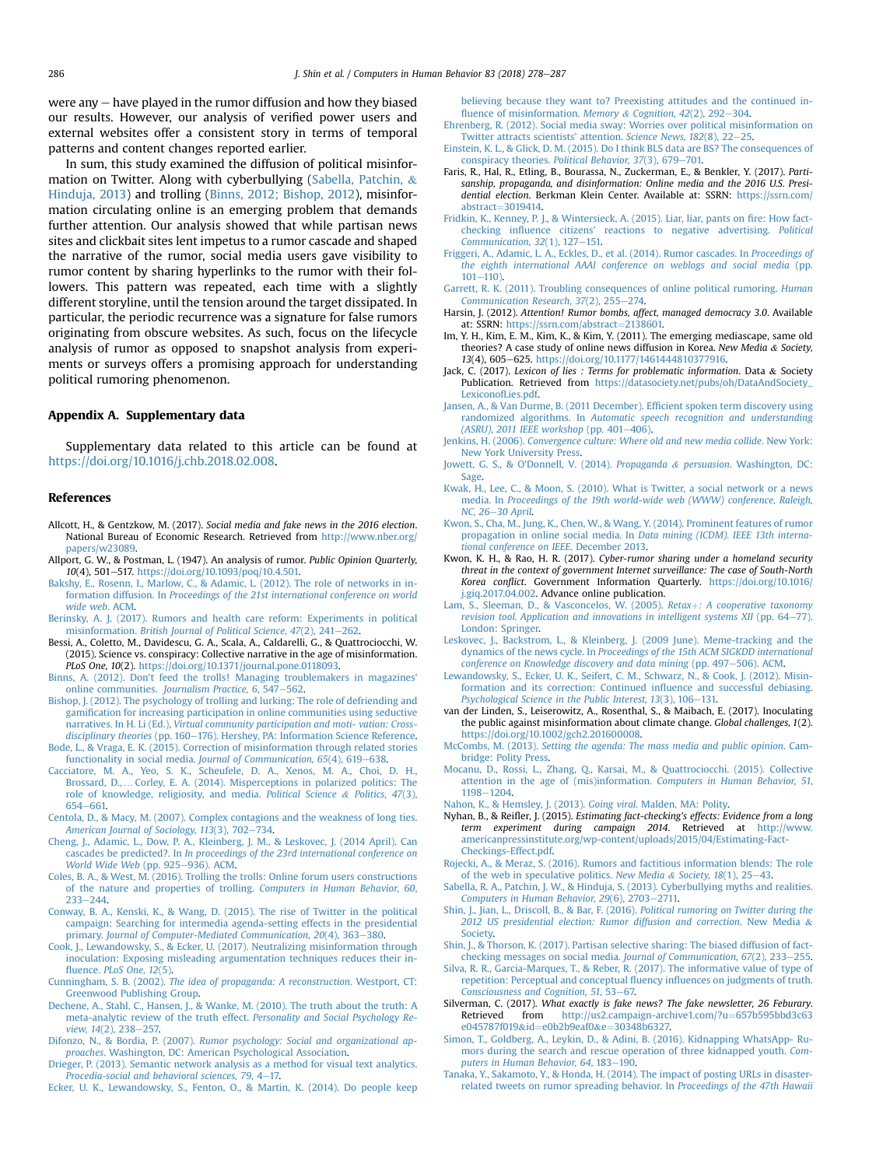<span id="page-8-0"></span>were any  $-$  have played in the rumor diffusion and how they biased our results. However, our analysis of verified power users and external websites offer a consistent story in terms of temporal patterns and content changes reported earlier.

In sum, this study examined the diffusion of political misinformation on Twitter. Along with cyberbullying (Sabella, Patchin, & Hinduja, 2013) and trolling (Binns, 2012; Bishop, 2012), misinformation circulating online is an emerging problem that demands further attention. Our analysis showed that while partisan news sites and clickbait sites lent impetus to a rumor cascade and shaped the narrative of the rumor, social media users gave visibility to rumor content by sharing hyperlinks to the rumor with their followers. This pattern was repeated, each time with a slightly different storyline, until the tension around the target dissipated. In particular, the periodic recurrence was a signature for false rumors originating from obscure websites. As such, focus on the lifecycle analysis of rumor as opposed to snapshot analysis from experiments or surveys offers a promising approach for understanding political rumoring phenomenon.

## Appendix A. Supplementary data

Supplementary data related to this article can be found at [https://doi.org/10.1016/j.chb.2018.02.008.](https://doi.org/10.1016/j.chb.2018.02.008)

#### References

- Allcott, H., & Gentzkow, M. (2017). Social media and fake news in the 2016 election. National Bureau of Economic Research. Retrieved from [http://www.nber.org/](http://www.nber.org/papers/w23089) [papers/w23089](http://www.nber.org/papers/w23089).
- Allport, G. W., & Postman, L. (1947). An analysis of rumor. Public Opinion Quarterly, 10(4), 501-517. [https://doi.org/10.1093/poq/10.4.501.](https://doi.org/10.1093/poq/10.4.501)
- [Bakshy, E., Rosenn, I., Marlow, C., & Adamic, L. \(2012\). The role of networks in in](http://refhub.elsevier.com/S0747-5632(18)30066-9/sref3)formation diffusion. In [Proceedings of the 21st international conference on world](http://refhub.elsevier.com/S0747-5632(18)30066-9/sref3) [wide web](http://refhub.elsevier.com/S0747-5632(18)30066-9/sref3). ACM.
- [Berinsky, A. J. \(2017\). Rumors and health care reform: Experiments in political](http://refhub.elsevier.com/S0747-5632(18)30066-9/sref100) misinformation. [British Journal of Political Science, 47](http://refhub.elsevier.com/S0747-5632(18)30066-9/sref100)(2), 241-[262](http://refhub.elsevier.com/S0747-5632(18)30066-9/sref100).
- Bessi, A., Coletto, M., Davidescu, G. A., Scala, A., Caldarelli, G., & Quattrociocchi, W. (2015). Science vs. conspiracy: Collective narrative in the age of misinformation. PLoS One, 10(2). <https://doi.org/10.1371/journal.pone.0118093>.
- [Binns, A. \(2012\). Don't feed the trolls! Managing troublemakers in magazines'](http://refhub.elsevier.com/S0747-5632(18)30066-9/sref5) online communities. Journalism Practice,  $6, 547-562$  $6, 547-562$ .
- [Bishop, J. \(2012\). The psychology of trolling and lurking: The role of defriending and](http://refhub.elsevier.com/S0747-5632(18)30066-9/sref6) gamifi[cation for increasing participation in online communities using seductive](http://refhub.elsevier.com/S0747-5632(18)30066-9/sref6) narratives. In H. Li (Ed.), [Virtual community participation and moti- vation: Cross](http://refhub.elsevier.com/S0747-5632(18)30066-9/sref6) $disciplinary$  theories (pp. 160–[176\). Hershey, PA: Information Science Reference](http://refhub.elsevier.com/S0747-5632(18)30066-9/sref6).
- [Bode, L., & Vraga, E. K. \(2015\). Correction of misinformation through related stories](http://refhub.elsevier.com/S0747-5632(18)30066-9/sref7) [functionality in social media.](http://refhub.elsevier.com/S0747-5632(18)30066-9/sref7) Journal of Communication, 65(4), 619-[638.](http://refhub.elsevier.com/S0747-5632(18)30066-9/sref7)
- [Cacciatore, M. A., Yeo, S. K., Scheufele, D. A., Xenos, M. A., Choi, D. H.,](http://refhub.elsevier.com/S0747-5632(18)30066-9/sref200) Brossard, D., …[Corley, E. A. \(2014\). Misperceptions in polarized politics: The](http://refhub.elsevier.com/S0747-5632(18)30066-9/sref200) [role of knowledge, religiosity, and media.](http://refhub.elsevier.com/S0747-5632(18)30066-9/sref200) Political Science & [Politics, 47](http://refhub.elsevier.com/S0747-5632(18)30066-9/sref200)(3), [654](http://refhub.elsevier.com/S0747-5632(18)30066-9/sref200)-[661.](http://refhub.elsevier.com/S0747-5632(18)30066-9/sref200)
- [Centola, D., & Macy, M. \(2007\). Complex contagions and the weakness of long ties.](http://refhub.elsevier.com/S0747-5632(18)30066-9/sref8)<br>[American Journal of Sociology, 113](http://refhub.elsevier.com/S0747-5632(18)30066-9/sref8)(3), 702–[734](http://refhub.elsevier.com/S0747-5632(18)30066-9/sref8).
- [Cheng, J., Adamic, L., Dow, P. A., Kleinberg, J. M., & Leskovec, J. \(2014 April\). Can](http://refhub.elsevier.com/S0747-5632(18)30066-9/sref9) cascades be predicted?. In *[In proceedings of the 23rd international conference on](http://refhub.elsevier.com/S0747-5632(18)30066-9/sref9)* [World Wide Web](http://refhub.elsevier.com/S0747-5632(18)30066-9/sref9) (pp. 925-[936\). ACM.](http://refhub.elsevier.com/S0747-5632(18)30066-9/sref9)
- [Coles, B. A., & West, M. \(2016\). Trolling the trolls: Online forum users constructions](http://refhub.elsevier.com/S0747-5632(18)30066-9/sref10) [of the nature and properties of trolling.](http://refhub.elsevier.com/S0747-5632(18)30066-9/sref10) Computers in Human Behavior, 60,  $233 - 244$  $233 - 244$
- [Conway, B. A., Kenski, K., & Wang, D. \(2015\). The rise of Twitter in the political](http://refhub.elsevier.com/S0747-5632(18)30066-9/sref11) [campaign: Searching for intermedia agenda-setting effects in the presidential](http://refhub.elsevier.com/S0747-5632(18)30066-9/sref11) primary. [Journal of Computer-Mediated Communication, 20](http://refhub.elsevier.com/S0747-5632(18)30066-9/sref11)(4), 363-[380.](http://refhub.elsevier.com/S0747-5632(18)30066-9/sref11)
- [Cook, J., Lewandowsky, S., & Ecker, U. \(2017\). Neutralizing misinformation through](http://refhub.elsevier.com/S0747-5632(18)30066-9/sref12) [inoculation: Exposing misleading argumentation techniques reduces their in](http://refhub.elsevier.com/S0747-5632(18)30066-9/sref12)fluence. [PLoS One, 12](http://refhub.elsevier.com/S0747-5632(18)30066-9/sref12)(5).
- Cunningham, S. B. (2002). [The idea of propaganda: A reconstruction](http://refhub.elsevier.com/S0747-5632(18)30066-9/sref13). Westport, CT: [Greenwood Publishing Group.](http://refhub.elsevier.com/S0747-5632(18)30066-9/sref13)
- [Dechene, A., Stahl, C., Hansen, J., & Wanke, M. \(2010\). The truth about the truth: A](http://refhub.elsevier.com/S0747-5632(18)30066-9/sref400) [meta-analytic review of the truth effect.](http://refhub.elsevier.com/S0747-5632(18)30066-9/sref400) Personality and Social Psychology Re-view, 14[\(2\), 238](http://refhub.elsevier.com/S0747-5632(18)30066-9/sref400)-[257.](http://refhub.elsevier.com/S0747-5632(18)30066-9/sref400)
- Difonzo, N., & Bordia, P. (2007). [Rumor psychology: Social and organizational ap](http://refhub.elsevier.com/S0747-5632(18)30066-9/sref14)proaches[. Washington, DC: American Psychological Association.](http://refhub.elsevier.com/S0747-5632(18)30066-9/sref14)
- [Drieger, P. \(2013\). Semantic network analysis as a method for visual text analytics.](http://refhub.elsevier.com/S0747-5632(18)30066-9/sref15) [Procedia-social and behavioral sciences, 79](http://refhub.elsevier.com/S0747-5632(18)30066-9/sref15), 4-[17.](http://refhub.elsevier.com/S0747-5632(18)30066-9/sref15)

[Ecker, U. K., Lewandowsky, S., Fenton, O., & Martin, K. \(2014\). Do people keep](http://refhub.elsevier.com/S0747-5632(18)30066-9/sref16)

[believing because they want to? Preexisting attitudes and the continued in](http://refhub.elsevier.com/S0747-5632(18)30066-9/sref16)fl[uence of misinformation.](http://refhub.elsevier.com/S0747-5632(18)30066-9/sref16) Memory & Cognition,  $42(2)$ ,  $292-304$ .

- [Ehrenberg, R. \(2012\). Social media sway: Worries over political misinformation on](http://refhub.elsevier.com/S0747-5632(18)30066-9/sref17) [Twitter attracts scientists' attention.](http://refhub.elsevier.com/S0747-5632(18)30066-9/sref17) Science News, 182(8), 22-[25](http://refhub.elsevier.com/S0747-5632(18)30066-9/sref17).
- [Einstein, K. L., & Glick, D. M. \(2015\). Do I think BLS data are BS? The consequences of](http://refhub.elsevier.com/S0747-5632(18)30066-9/sref18) conspiracy theories. [Political Behavior, 37](http://refhub.elsevier.com/S0747-5632(18)30066-9/sref18)(3), 679-[701.](http://refhub.elsevier.com/S0747-5632(18)30066-9/sref18)
- Faris, R., Hal, R., Etling, B., Bourassa, N., Zuckerman, E., & Benkler, Y. (2017). Partisanship, propaganda, and disinformation: Online media and the 2016 U.S. Presidential election. Berkman Klein Center. Available at: SSRN: [https://ssrn.com/](https://ssrn.com/abstract=3019414) [abstract](https://ssrn.com/abstract=3019414) $=3019414$  $=3019414$ .
- [Fridkin, K., Kenney, P. J., & Wintersieck, A. \(2015\). Liar, liar, pants on](http://refhub.elsevier.com/S0747-5632(18)30066-9/sref300) fire: How factchecking infl[uence citizens' reactions to negative advertising.](http://refhub.elsevier.com/S0747-5632(18)30066-9/sref300) Political Communication,  $32(1)$ ,  $127-151$ .
- [Friggeri, A., Adamic, L. A., Eckles, D., et al. \(2014\). Rumor cascades. In](http://refhub.elsevier.com/S0747-5632(18)30066-9/sref20) Proceedings of [the eighth international AAAI conference on weblogs and social media](http://refhub.elsevier.com/S0747-5632(18)30066-9/sref20) (pp.  $101 - 110$  $101 - 110$
- [Garrett, R. K. \(2011\). Troubling consequences of online political rumoring.](http://refhub.elsevier.com/S0747-5632(18)30066-9/sref21) Human Communication Research,  $37(2)$ ,  $255-274$ .
- Harsin, J. (2012). Attention! Rumor bombs, affect, managed democracy 3.0. Available at: SSRN: [https://ssrn.com/abstract](https://ssrn.com/abstract=2138601)=[2138601.](https://ssrn.com/abstract=2138601)
- Im, Y. H., Kim, E. M., Kim, K., & Kim, Y. (2011). The emerging mediascape, same old theories? A case study of online news diffusion in Korea. New Media & Society, 13(4), 605-625. <https://doi.org/10.1177/1461444810377916>.
- Jack, C. (2017). Lexicon of lies : Terms for problematic information. Data & Society Publication. Retrieved from [https://datasociety.net/pubs/oh/DataAndSociety\\_](https://datasociety.net/pubs/oh/DataAndSociety_LexiconofLies.pdf) [LexiconofLies.pdf.](https://datasociety.net/pubs/oh/DataAndSociety_LexiconofLies.pdf)
- [Jansen, A., & Van Durme, B. \(2011 December\). Ef](http://refhub.elsevier.com/S0747-5632(18)30066-9/sref25)ficient spoken term discovery using randomized algorithms. In [Automatic speech recognition and understanding](http://refhub.elsevier.com/S0747-5632(18)30066-9/sref25) [\(ASRU\), 2011 IEEE workshop](http://refhub.elsevier.com/S0747-5632(18)30066-9/sref25) (pp.  $401-406$ ).
- Jenkins, H. (2006). [Convergence culture: Where old and new media collide](http://refhub.elsevier.com/S0747-5632(18)30066-9/sref26). New York: [New York University Press](http://refhub.elsevier.com/S0747-5632(18)30066-9/sref26).
- [Jowett, G. S., & O'Donnell, V. \(2014\).](http://refhub.elsevier.com/S0747-5632(18)30066-9/sref27) Propaganda & persuasion[. Washington, DC:](http://refhub.elsevier.com/S0747-5632(18)30066-9/sref27) [Sage.](http://refhub.elsevier.com/S0747-5632(18)30066-9/sref27)
- [Kwak, H., Lee, C., & Moon, S. \(2010\). What is Twitter, a social network or a news](http://refhub.elsevier.com/S0747-5632(18)30066-9/sref28) media. In [Proceedings of the 19th world-wide web \(WWW\) conference, Raleigh,](http://refhub.elsevier.com/S0747-5632(18)30066-9/sref28) [NC, 26](http://refhub.elsevier.com/S0747-5632(18)30066-9/sref28)-[30 April](http://refhub.elsevier.com/S0747-5632(18)30066-9/sref28).
- [Kwon, S., Cha, M., Jung, K., Chen, W., & Wang, Y. \(2014\). Prominent features of rumor](http://refhub.elsevier.com/S0747-5632(18)30066-9/sref29) propagation in online social media. In [Data mining \(ICDM\). IEEE 13th interna](http://refhub.elsevier.com/S0747-5632(18)30066-9/sref29)[tional conference on IEEE](http://refhub.elsevier.com/S0747-5632(18)30066-9/sref29). December 2013.
- Kwon, K. H., & Rao, H. R. (2017). Cyber-rumor sharing under a homeland security threat in the context of government Internet surveillance: The case of South-North Korea conflict. Government Information Quarterly. [https://doi.org/10.1016/](https://doi.org/10.1016/j.giq.2017.04.002) [j.giq.2017.04.002](https://doi.org/10.1016/j.giq.2017.04.002). Advance online publication.
- [Lam, S., Sleeman, D., & Vasconcelos, W. \(2005\).](http://refhub.elsevier.com/S0747-5632(18)30066-9/sref31) Retax+[: A cooperative taxonomy](http://refhub.elsevier.com/S0747-5632(18)30066-9/sref31) [revision tool. Application and innovations in intelligent systems XII](http://refhub.elsevier.com/S0747-5632(18)30066-9/sref31) (pp.  $64-77$ ). [London: Springer.](http://refhub.elsevier.com/S0747-5632(18)30066-9/sref31)
- [Leskovec, J., Backstrom, L., & Kleinberg, J. \(2009 June\). Meme-tracking and the](http://refhub.elsevier.com/S0747-5632(18)30066-9/sref32) dynamics of the news cycle. In [Proceedings of the 15th ACM SIGKDD international](http://refhub.elsevier.com/S0747-5632(18)30066-9/sref32) [conference on Knowledge discovery and data mining](http://refhub.elsevier.com/S0747-5632(18)30066-9/sref32) (pp. 497-[506\). ACM.](http://refhub.elsevier.com/S0747-5632(18)30066-9/sref32)
- [Lewandowsky, S., Ecker, U. K., Seifert, C. M., Schwarz, N., & Cook, J. \(2012\). Misin](http://refhub.elsevier.com/S0747-5632(18)30066-9/sref33)[formation and its correction: Continued in](http://refhub.elsevier.com/S0747-5632(18)30066-9/sref33)fluence and successful debiasing. [Psychological Science in the Public Interest, 13](http://refhub.elsevier.com/S0747-5632(18)30066-9/sref33)(3), 106-[131.](http://refhub.elsevier.com/S0747-5632(18)30066-9/sref33)
- van der Linden, S., Leiserowitz, A., Rosenthal, S., & Maibach, E. (2017). Inoculating the public against misinformation about climate change. Global challenges, 1(2). <https://doi.org/10.1002/gch2.201600008>.
- McCombs, M. (2013). [Setting the agenda: The mass media and public opinion](http://refhub.elsevier.com/S0747-5632(18)30066-9/sref35). Cam[bridge: Polity Press.](http://refhub.elsevier.com/S0747-5632(18)30066-9/sref35)
- [Mocanu, D., Rossi, L., Zhang, Q., Karsai, M., & Quattrociocchi. \(2015\). Collective](http://refhub.elsevier.com/S0747-5632(18)30066-9/sref36) [attention in the age of \(mis\)information.](http://refhub.elsevier.com/S0747-5632(18)30066-9/sref36) Computers in Human Behavior, 51, [1198](http://refhub.elsevier.com/S0747-5632(18)30066-9/sref36)-[1204.](http://refhub.elsevier.com/S0747-5632(18)30066-9/sref36)
- [Nahon, K., & Hemsley, J. \(2013\).](http://refhub.elsevier.com/S0747-5632(18)30066-9/sref38) Going viral. Malden, MA: Polity.
- Nyhan, B., & Reifler, J. (2015). Estimating fact-checking's effects: Evidence from a long term experiment during campaign 2014. Retrieved at [http://www.](http://www.americanpressinstitute.org/wp-content/uploads/2015/04/Estimating-Fact-Checkings-Effect.pdf) [americanpressinstitute.org/wp-content/uploads/2015/04/Estimating-Fact-](http://www.americanpressinstitute.org/wp-content/uploads/2015/04/Estimating-Fact-Checkings-Effect.pdf)[Checkings-Effect.pdf](http://www.americanpressinstitute.org/wp-content/uploads/2015/04/Estimating-Fact-Checkings-Effect.pdf).
- [Rojecki, A., & Meraz, S. \(2016\). Rumors and factitious information blends: The role](http://refhub.elsevier.com/S0747-5632(18)30066-9/sref41) [of the web in speculative politics.](http://refhub.elsevier.com/S0747-5632(18)30066-9/sref41) New Media & [Society, 18](http://refhub.elsevier.com/S0747-5632(18)30066-9/sref41)(1), 25-[43](http://refhub.elsevier.com/S0747-5632(18)30066-9/sref41).
- [Sabella, R. A., Patchin, J. W., & Hinduja, S. \(2013\). Cyberbullying myths and realities.](http://refhub.elsevier.com/S0747-5632(18)30066-9/sref600) Computers in Human Behavior,  $29(6)$ ,  $2703-2711$ .
- [Shin, J., Jian, L., Driscoll, B., & Bar, F. \(2016\).](http://refhub.elsevier.com/S0747-5632(18)30066-9/sref42) Political rumoring on Twitter during the [2012 US presidential election: Rumor diffusion and correction](http://refhub.elsevier.com/S0747-5632(18)30066-9/sref42). New Media & [Society](http://refhub.elsevier.com/S0747-5632(18)30066-9/sref42).
- [Shin, J., & Thorson, K. \(2017\). Partisan selective sharing: The biased diffusion of fact](http://refhub.elsevier.com/S0747-5632(18)30066-9/sref43)[checking messages on social media.](http://refhub.elsevier.com/S0747-5632(18)30066-9/sref43) Journal of Communication,  $67(2)$ ,  $233-255$  $233-255$ .
- [Silva, R. R., Garcia-Marques, T., & Reber, R. \(2017\). The informative value of type of](http://refhub.elsevier.com/S0747-5632(18)30066-9/sref44) [repetition: Perceptual and conceptual](http://refhub.elsevier.com/S0747-5632(18)30066-9/sref44) fluency influences on judgments of truth. [Consciousness and Cognition, 51](http://refhub.elsevier.com/S0747-5632(18)30066-9/sref44), 53-[67.](http://refhub.elsevier.com/S0747-5632(18)30066-9/sref44)
- Silverman, C. (2017). What exactly is fake news? The fake newsletter, 26 Feburary.<br>Retrieved from http://us2.campaign-archive1.com/?u=657b595bbd3c63  $from$  [http://us2.campaign-archive1.com/?u](http://us2.campaign-archive1.com/?u=657b595bbd3c63e045787f019&id=e0b2b9eaf0&e=30348b6327)=[657b595bbd3c63](http://us2.campaign-archive1.com/?u=657b595bbd3c63e045787f019&id=e0b2b9eaf0&e=30348b6327) [e045787f019](http://us2.campaign-archive1.com/?u=657b595bbd3c63e045787f019&id=e0b2b9eaf0&e=30348b6327)&[id](http://us2.campaign-archive1.com/?u=657b595bbd3c63e045787f019&id=e0b2b9eaf0&e=30348b6327)=[e0b2b9eaf0](http://us2.campaign-archive1.com/?u=657b595bbd3c63e045787f019&id=e0b2b9eaf0&e=30348b6327)&[e](http://us2.campaign-archive1.com/?u=657b595bbd3c63e045787f019&id=e0b2b9eaf0&e=30348b6327)=[30348b6327.](http://us2.campaign-archive1.com/?u=657b595bbd3c63e045787f019&id=e0b2b9eaf0&e=30348b6327)
- [Simon, T., Goldberg, A., Leykin, D., & Adini, B. \(2016\). Kidnapping WhatsApp- Ru](http://refhub.elsevier.com/S0747-5632(18)30066-9/sref46)[mors during the search and rescue operation of three kidnapped youth.](http://refhub.elsevier.com/S0747-5632(18)30066-9/sref46) Com[puters in Human Behavior, 64](http://refhub.elsevier.com/S0747-5632(18)30066-9/sref46), 183-[190.](http://refhub.elsevier.com/S0747-5632(18)30066-9/sref46)
- [Tanaka, Y., Sakamoto, Y., & Honda, H. \(2014\). The impact of posting URLs in disaster](http://refhub.elsevier.com/S0747-5632(18)30066-9/sref47)[related tweets on rumor spreading behavior. In](http://refhub.elsevier.com/S0747-5632(18)30066-9/sref47) Proceedings of the 47th Hawaii